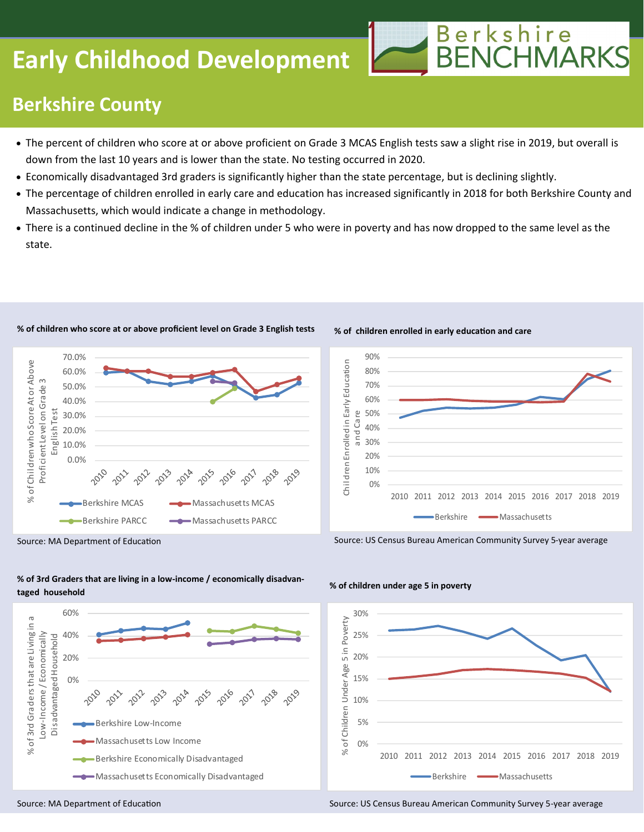# **Early Childhood Development**



## **Berkshire County**

- The percent of children who score at or above proficient on Grade 3 MCAS English tests saw a slight rise in 2019, but overall is down from the last 10 years and is lower than the state. No testing occurred in 2020.
- Economically disadvantaged 3rd graders is significantly higher than the state percentage, but is declining slightly.
- The percentage of children enrolled in early care and education has increased significantly in 2018 for both Berkshire County and Massachusetts, which would indicate a change in methodology.
- There is a continued decline in the % of children under 5 who were in poverty and has now dropped to the same level as the state.



#### **% of children who score at or above proficient level on Grade 3 English tests**



**% of children enrolled in early education and care**

Source: US Census Bureau American Community Survey 5-year average

Source: MA Department of Education





#### **% of children under age 5 in poverty**

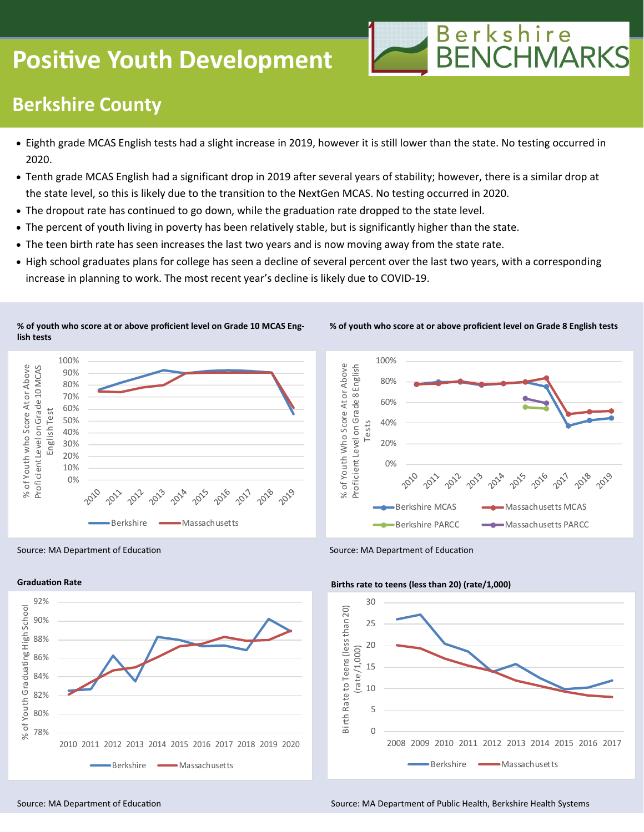# **Positive Youth Development**



## **Berkshire County**

- Eighth grade MCAS English tests had a slight increase in 2019, however it is still lower than the state. No testing occurred in 2020.
- Tenth grade MCAS English had a significant drop in 2019 after several years of stability; however, there is a similar drop at the state level, so this is likely due to the transition to the NextGen MCAS. No testing occurred in 2020.
- The dropout rate has continued to go down, while the graduation rate dropped to the state level.
- The percent of youth living in poverty has been relatively stable, but is significantly higher than the state.
- The teen birth rate has seen increases the last two years and is now moving away from the state rate.
- High school graduates plans for college has seen a decline of several percent over the last two years, with a corresponding increase in planning to work. The most recent year's decline is likely due to COVID-19.

**% of youth who score at or above proficient level on Grade 10 MCAS English tests**





**% of youth who score at or above proficient level on Grade 8 English tests**

Source: MA Department of Education Source: MA Department of Education



#### **Births rate to teens (less than 20) (rate/1,000)**



Source: MA Department of Education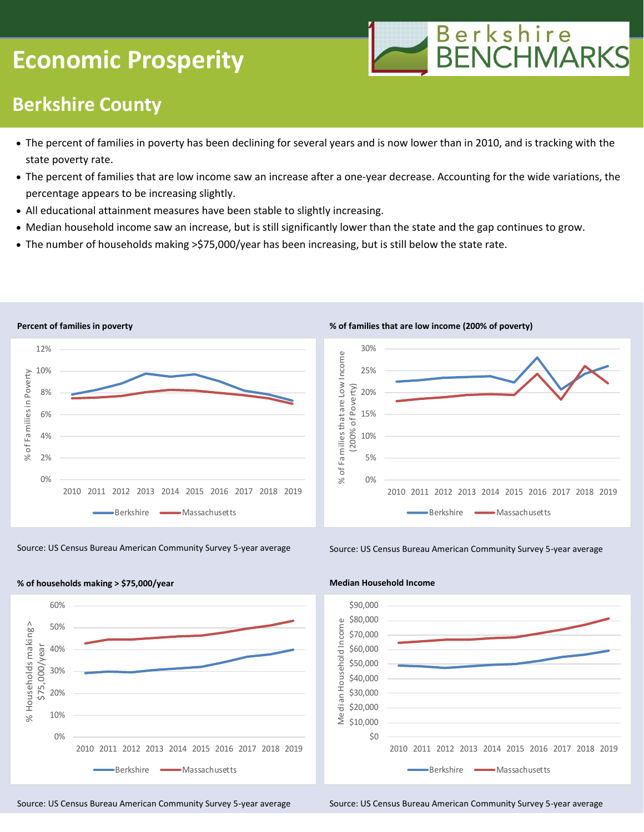# **Economic Prosperity**



### **Berkshire County**

- The percent of families in poverty has been declining for several years and is now lower than in 2010, and is tracking with the state poverty rate.
- The percent of families that are low income saw an increase after a one-year decrease. Accounting for the wide variations, the percentage appears to be increasing slightly.
- All educational attainment measures have been stable to slightly increasing.
- Median household income saw an increase, but is still significantly lower than the state and the gap continues to grow.
- The number of households making >\$75,000/year has been increasing, but is still below the state rate.



Source: US Census Bureau American Community Survey 5-year average Source: US Census Bureau American Community Survey 5-year average



**% of families that are low income (200% of poverty)**





**Median Household Income**

Source: US Census Bureau American Community Survey 5-year average Source: US Census Bureau American Community Survey 5-year average